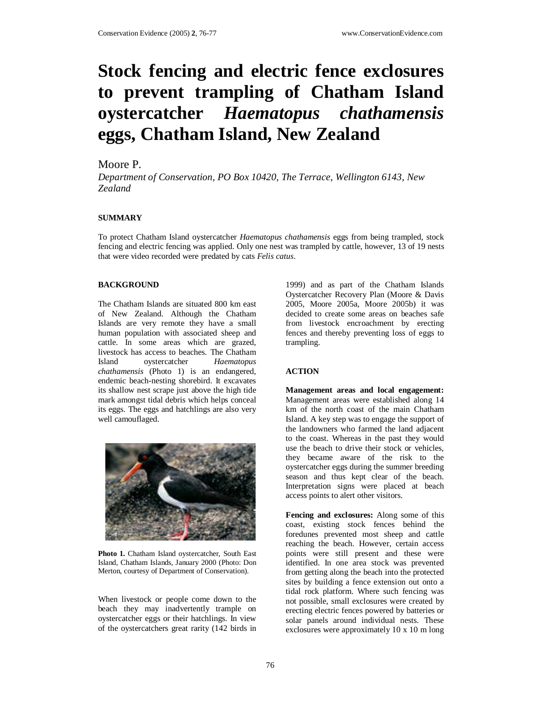# **Stock fencing and electric fence exclosures to prevent trampling of Chatham Island oystercatcher** *Haematopus chathamensis* **eggs, Chatham Island, New Zealand**

## Moore P.

*Department of Conservation, PO Box 10420, The Terrace, Wellington 6143, New Zealand*

### **SUMMARY**

To protect Chatham Island oystercatcher *Haematopus chathamensis* eggs from being trampled, stock fencing and electric fencing was applied. Only one nest was trampled by cattle, however, 13 of 19 nests that were video recorded were predated by cats *Felis catus*.

### **BACKGROUND**

The Chatham Islands are situated 800 km east of New Zealand. Although the Chatham Islands are very remote they have a small human population with associated sheep and cattle. In some areas which are grazed, livestock has access to beaches. The Chatham Island oystercatcher *Haematopus chathamensis* (Photo 1) is an endangered, endemic beach-nesting shorebird. It excavates its shallow nest scrape just above the high tide mark amongst tidal debris which helps conceal its eggs. The eggs and hatchlings are also very well camouflaged.



**Photo 1.** Chatham Island oystercatcher, South East Island, Chatham Islands, January 2000 (Photo: Don Merton, courtesy of Department of Conservation).

When livestock or people come down to the beach they may inadvertently trample on oystercatcher eggs or their hatchlings. In view of the oystercatchers great rarity (142 birds in

1999) and as part of the Chatham Islands Oystercatcher Recovery Plan (Moore & Davis 2005, Moore 2005a, Moore 2005b) it was decided to create some areas on beaches safe from livestock encroachment by erecting fences and thereby preventing loss of eggs to trampling.

## **ACTION**

**Management areas and local engagement:** Management areas were established along 14 km of the north coast of the main Chatham Island. A key step was to engage the support of the landowners who farmed the land adjacent to the coast. Whereas in the past they would use the beach to drive their stock or vehicles, they became aware of the risk to the oystercatcher eggs during the summer breeding season and thus kept clear of the beach. Interpretation signs were placed at beach access points to alert other visitors.

**Fencing and exclosures:** Along some of this coast, existing stock fences behind the foredunes prevented most sheep and cattle reaching the beach. However, certain access points were still present and these were identified. In one area stock was prevented from getting along the beach into the protected sites by building a fence extension out onto a tidal rock platform. Where such fencing was not possible, small exclosures were created by erecting electric fences powered by batteries or solar panels around individual nests. These exclosures were approximately 10 x 10 m long